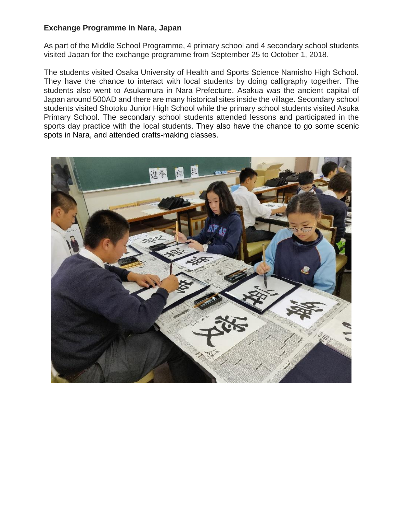## **Exchange Programme in Nara, Japan**

As part of the Middle School Programme, 4 primary school and 4 secondary school students visited Japan for the exchange programme from September 25 to October 1, 2018.

The students visited Osaka University of Health and Sports Science Namisho High School. They have the chance to interact with local students by doing calligraphy together. The students also went to Asukamura in Nara Prefecture. Asakua was the ancient capital of Japan around 500AD and there are many historical sites inside the village. Secondary school students visited Shotoku Junior High School while the primary school students visited Asuka Primary School. The secondary school students attended lessons and participated in the sports day practice with the local students. They also have the chance to go some scenic spots in Nara, and attended crafts-making classes.

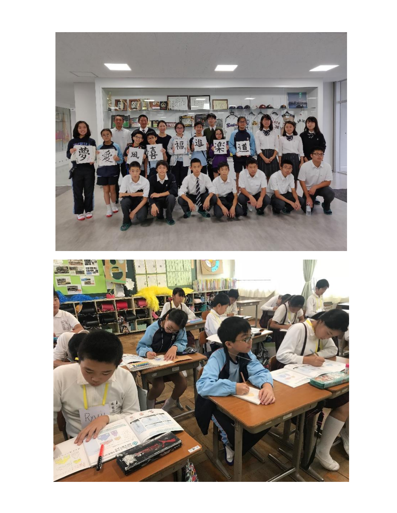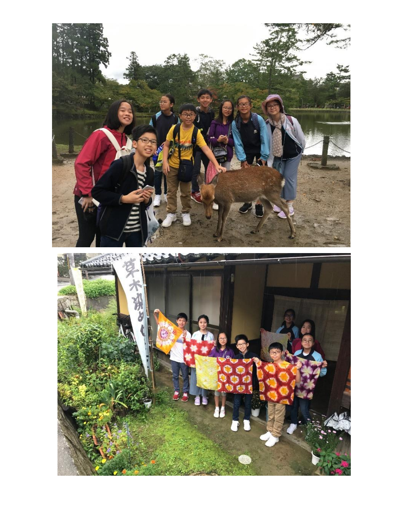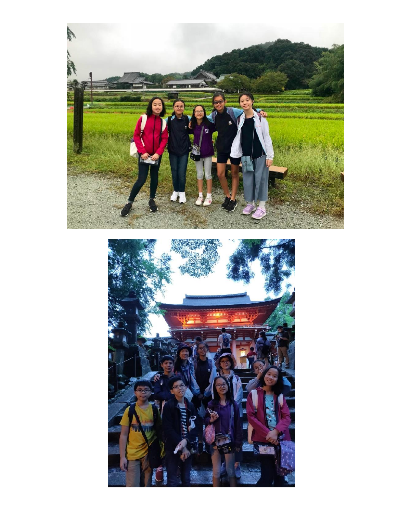